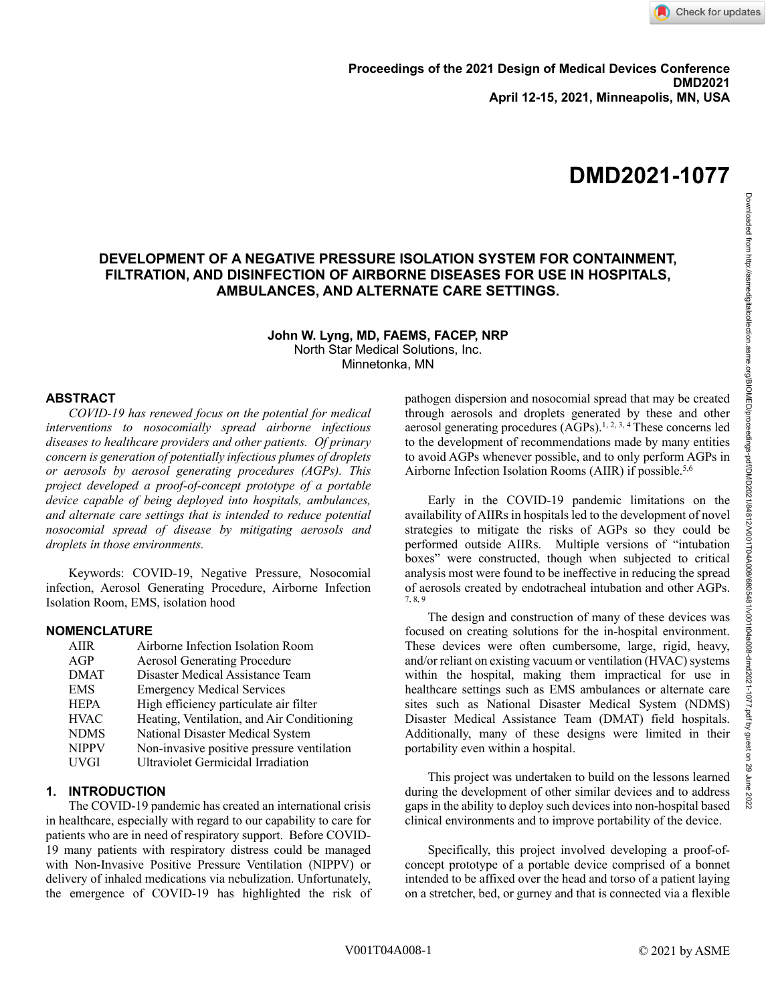# **DEVELOPMENT OF A NEGATIVE PRESSURE ISOLATION SYSTEM FOR CONTAINMENT, FILTRATION, AND DISINFECTION OF AIRBORNE DISEASES FOR USE IN HOSPITALS, AMBULANCES, AND ALTERNATE CARE SETTINGS.**

**John W. Lyng, MD, FAEMS, FACEP, NRP** North Star Medical Solutions, Inc. Minnetonka, MN

# **ABSTRACT**

*COVID-19 has renewed focus on the potential for medical interventions to nosocomially spread airborne infectious diseases to healthcare providers and other patients. Of primary concern is generation of potentially infectious plumes of droplets or aerosols by aerosol generating procedures (AGPs). This project developed a proof-of-concept prototype of a portable device capable of being deployed into hospitals, ambulances, and alternate care settings that is intended to reduce potential nosocomial spread of disease by mitigating aerosols and droplets in those environments.* 

Keywords: COVID-19, Negative Pressure, Nosocomial infection, Aerosol Generating Procedure, Airborne Infection Isolation Room, EMS, isolation hood

# **NOMENCLATURE**

| <b>AIIR</b>  | Airborne Infection Isolation Room          |
|--------------|--------------------------------------------|
| AGP          | <b>Aerosol Generating Procedure</b>        |
| <b>DMAT</b>  | Disaster Medical Assistance Team           |
| <b>EMS</b>   | <b>Emergency Medical Services</b>          |
| <b>HEPA</b>  | High efficiency particulate air filter     |
| <b>HVAC</b>  | Heating, Ventilation, and Air Conditioning |
| <b>NDMS</b>  | National Disaster Medical System           |
| <b>NIPPV</b> | Non-invasive positive pressure ventilation |
| <b>UVGI</b>  | Ultraviolet Germicidal Irradiation         |
|              |                                            |

# **1. INTRODUCTION**

The COVID-19 pandemic has created an international crisis in healthcare, especially with regard to our capability to care for patients who are in need of respiratory support. Before COVID-19 many patients with respiratory distress could be managed with Non-Invasive Positive Pressure Ventilation (NIPPV) or delivery of inhaled medications via nebulization. Unfortunately, the emergence of COVID-19 has highlighted the risk of pathogen dispersion and nosocomial spread that may be created through aerosols and droplets generated by these and other aerosol generating procedures  $(AGPs)$ .<sup>1, 2, 3, 4</sup> These concerns led to the development of recommendations made by many entities to avoid AGPs whenever possible, and to only perform AGPs in Airborne Infection Isolation Rooms (AIIR) if possible.<sup>5,6</sup>

Early in the COVID-19 pandemic limitations on the availability of AIIRs in hospitals led to the development of novel strategies to mitigate the risks of AGPs so they could be performed outside AIIRs. Multiple versions of "intubation boxes" were constructed, though when subjected to critical analysis most were found to be ineffective in reducing the spread of aerosols created by endotracheal intubation and other AGPs. 7, 8, 9

The design and construction of many of these devices was focused on creating solutions for the in-hospital environment. These devices were often cumbersome, large, rigid, heavy, and/or reliant on existing vacuum or ventilation (HVAC) systems within the hospital, making them impractical for use in healthcare settings such as EMS ambulances or alternate care sites such as National Disaster Medical System (NDMS) Disaster Medical Assistance Team (DMAT) field hospitals. Additionally, many of these designs were limited in their portability even within a hospital.

This project was undertaken to build on the lessons learned during the development of other similar devices and to address gaps in the ability to deploy such devices into non-hospital based clinical environments and to improve portability of the device.

Specifically, this project involved developing a proof-ofconcept prototype of a portable device comprised of a bonnet intended to be affixed over the head and torso of a patient laying on a stretcher, bed, or gurney and that is connected via a flexible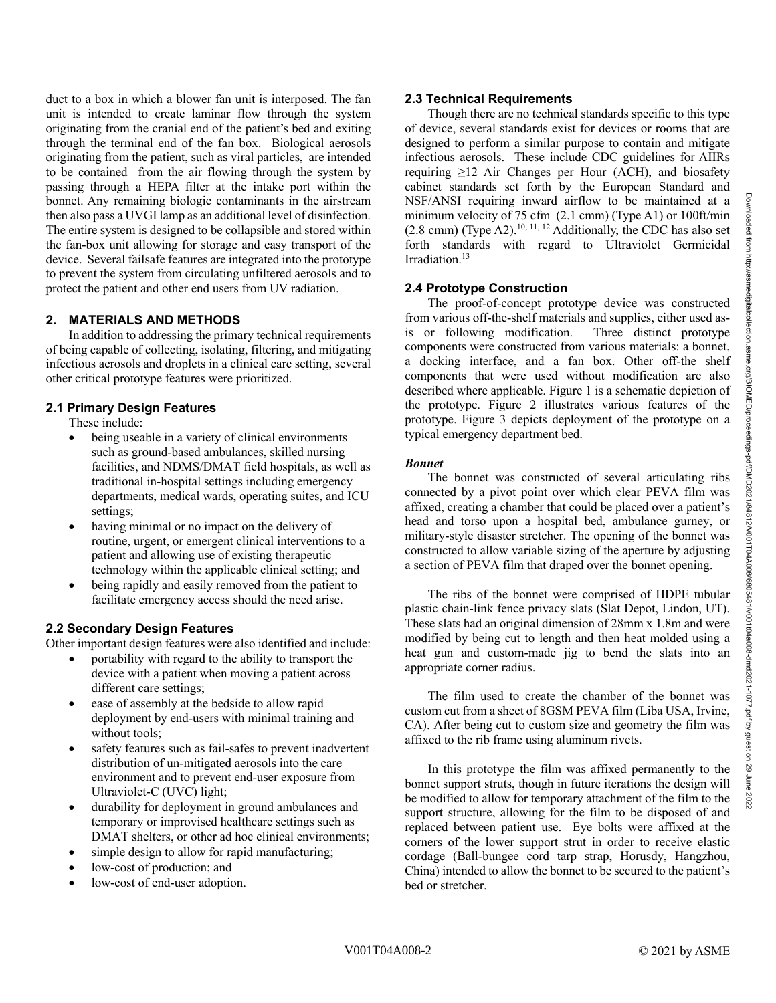duct to a box in which a blower fan unit is interposed. The fan unit is intended to create laminar flow through the system originating from the cranial end of the patient's bed and exiting through the terminal end of the fan box. Biological aerosols originating from the patient, such as viral particles, are intended to be contained from the air flowing through the system by passing through a HEPA filter at the intake port within the bonnet. Any remaining biologic contaminants in the airstream then also pass a UVGI lamp as an additional level of disinfection. The entire system is designed to be collapsible and stored within the fan-box unit allowing for storage and easy transport of the device. Several failsafe features are integrated into the prototype to prevent the system from circulating unfiltered aerosols and to protect the patient and other end users from UV radiation.

# **2. MATERIALS AND METHODS**

In addition to addressing the primary technical requirements of being capable of collecting, isolating, filtering, and mitigating infectious aerosols and droplets in a clinical care setting, several other critical prototype features were prioritized.

# **2.1 Primary Design Features**

These include:

- being useable in a variety of clinical environments such as ground-based ambulances, skilled nursing facilities, and NDMS/DMAT field hospitals, as well as traditional in-hospital settings including emergency departments, medical wards, operating suites, and ICU settings;
- having minimal or no impact on the delivery of routine, urgent, or emergent clinical interventions to a patient and allowing use of existing therapeutic technology within the applicable clinical setting; and
- being rapidly and easily removed from the patient to facilitate emergency access should the need arise.

# **2.2 Secondary Design Features**

Other important design features were also identified and include:

- portability with regard to the ability to transport the device with a patient when moving a patient across different care settings;
- ease of assembly at the bedside to allow rapid deployment by end-users with minimal training and without tools;
- safety features such as fail-safes to prevent inadvertent distribution of un-mitigated aerosols into the care environment and to prevent end-user exposure from Ultraviolet-C (UVC) light;
- durability for deployment in ground ambulances and temporary or improvised healthcare settings such as DMAT shelters, or other ad hoc clinical environments;
- simple design to allow for rapid manufacturing;
- low-cost of production; and
- low-cost of end-user adoption.

#### **2.3 Technical Requirements**

Though there are no technical standards specific to this type of device, several standards exist for devices or rooms that are designed to perform a similar purpose to contain and mitigate infectious aerosols. These include CDC guidelines for AIIRs requiring  $\geq$ 12 Air Changes per Hour (ACH), and biosafety cabinet standards set forth by the European Standard and NSF/ANSI requiring inward airflow to be maintained at a minimum velocity of 75 cfm (2.1 cmm) (Type A1) or 100ft/min  $(2.8 \text{ cm})$  (Type A2).<sup>10, 11, 12</sup> Additionally, the CDC has also set forth standards with regard to Ultraviolet Germicidal Irradiation. 13

### **2.4 Prototype Construction**

The proof-of-concept prototype device was constructed from various off-the-shelf materials and supplies, either used as-<br>is or following modification. Three distinct prototype is or following modification. components were constructed from various materials: a bonnet, a docking interface, and a fan box. Other off-the shelf components that were used without modification are also described where applicable. Figure 1 is a schematic depiction of the prototype. Figure 2 illustrates various features of the prototype. Figure 3 depicts deployment of the prototype on a typical emergency department bed.

### *Bonnet*

The bonnet was constructed of several articulating ribs connected by a pivot point over which clear PEVA film was affixed, creating a chamber that could be placed over a patient's head and torso upon a hospital bed, ambulance gurney, or military-style disaster stretcher. The opening of the bonnet was constructed to allow variable sizing of the aperture by adjusting a section of PEVA film that draped over the bonnet opening.

The ribs of the bonnet were comprised of HDPE tubular plastic chain-link fence privacy slats (Slat Depot, Lindon, UT). These slats had an original dimension of 28mm x 1.8m and were modified by being cut to length and then heat molded using a heat gun and custom-made jig to bend the slats into an appropriate corner radius.

The film used to create the chamber of the bonnet was custom cut from a sheet of 8GSM PEVA film (Liba USA, Irvine, CA). After being cut to custom size and geometry the film was affixed to the rib frame using aluminum rivets.

In this prototype the film was affixed permanently to the bonnet support struts, though in future iterations the design will be modified to allow for temporary attachment of the film to the support structure, allowing for the film to be disposed of and replaced between patient use. Eye bolts were affixed at the corners of the lower support strut in order to receive elastic cordage (Ball-bungee cord tarp strap, Horusdy, Hangzhou, China) intended to allow the bonnet to be secured to the patient's bed or stretcher.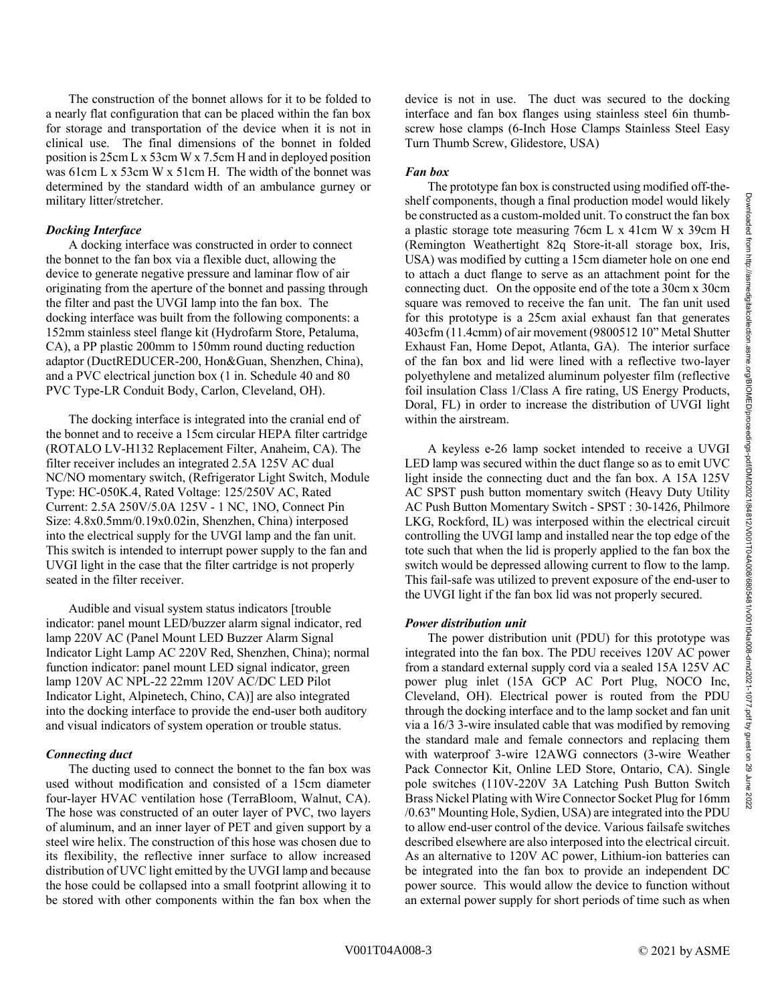The construction of the bonnet allows for it to be folded to a nearly flat configuration that can be placed within the fan box for storage and transportation of the device when it is not in clinical use. The final dimensions of the bonnet in folded position is 25cm L x 53cm W x 7.5cm H and in deployed position was 61cm L x 53cm W x 51cm H. The width of the bonnet was determined by the standard width of an ambulance gurney or military litter/stretcher.

### *Docking Interface*

A docking interface was constructed in order to connect the bonnet to the fan box via a flexible duct, allowing the device to generate negative pressure and laminar flow of air originating from the aperture of the bonnet and passing through the filter and past the UVGI lamp into the fan box. The docking interface was built from the following components: a 152mm stainless steel flange kit (Hydrofarm Store, Petaluma, CA), a PP plastic 200mm to 150mm round ducting reduction adaptor (DuctREDUCER-200, Hon&Guan, Shenzhen, China), and a PVC electrical junction box (1 in. Schedule 40 and 80 PVC Type-LR Conduit Body, Carlon, Cleveland, OH).

The docking interface is integrated into the cranial end of the bonnet and to receive a 15cm circular HEPA filter cartridge (ROTALO LV-H132 Replacement Filter, Anaheim, CA). The filter receiver includes an integrated 2.5A 125V AC dual NC/NO momentary switch, (Refrigerator Light Switch, Module Type: HC-050K.4, Rated Voltage: 125/250V AC, Rated Current: 2.5A 250V/5.0A 125V - 1 NC, 1NO, Connect Pin Size: 4.8x0.5mm/0.19x0.02in, Shenzhen, China) interposed into the electrical supply for the UVGI lamp and the fan unit. This switch is intended to interrupt power supply to the fan and UVGI light in the case that the filter cartridge is not properly seated in the filter receiver.

Audible and visual system status indicators [trouble indicator: panel mount LED/buzzer alarm signal indicator, red lamp 220V AC (Panel Mount LED Buzzer Alarm Signal Indicator Light Lamp AC 220V Red, Shenzhen, China); normal function indicator: panel mount LED signal indicator, green lamp 120V AC NPL-22 22mm 120V AC/DC LED Pilot Indicator Light, Alpinetech, Chino, CA)] are also integrated into the docking interface to provide the end-user both auditory and visual indicators of system operation or trouble status.

#### *Connecting duct*

The ducting used to connect the bonnet to the fan box was used without modification and consisted of a 15cm diameter four-layer HVAC ventilation hose (TerraBloom, Walnut, CA). The hose was constructed of an outer layer of PVC, two layers of aluminum, and an inner layer of PET and given support by a steel wire helix. The construction of this hose was chosen due to its flexibility, the reflective inner surface to allow increased distribution of UVC light emitted by the UVGI lamp and because the hose could be collapsed into a small footprint allowing it to be stored with other components within the fan box when the device is not in use. The duct was secured to the docking interface and fan box flanges using stainless steel 6in thumbscrew hose clamps (6-Inch Hose Clamps Stainless Steel Easy Turn Thumb Screw, Glidestore, USA)

#### *Fan box*

The prototype fan box is constructed using modified off-theshelf components, though a final production model would likely be constructed as a custom-molded unit. To construct the fan box a plastic storage tote measuring 76cm L x 41cm W x 39cm H (Remington Weathertight 82q Store-it-all storage box, Iris, USA) was modified by cutting a 15cm diameter hole on one end to attach a duct flange to serve as an attachment point for the connecting duct. On the opposite end of the tote a 30cm x 30cm square was removed to receive the fan unit. The fan unit used for this prototype is a 25cm axial exhaust fan that generates 403cfm (11.4cmm) of air movement (9800512 10" Metal Shutter Exhaust Fan, Home Depot, Atlanta, GA). The interior surface of the fan box and lid were lined with a reflective two-layer polyethylene and metalized aluminum polyester film (reflective foil insulation Class 1/Class A fire rating, US Energy Products, Doral, FL) in order to increase the distribution of UVGI light within the airstream.

A keyless e-26 lamp socket intended to receive a UVGI LED lamp was secured within the duct flange so as to emit UVC light inside the connecting duct and the fan box. A 15A 125V AC SPST push button momentary switch (Heavy Duty Utility AC Push Button Momentary Switch - SPST : 30-1426, Philmore LKG, Rockford, IL) was interposed within the electrical circuit controlling the UVGI lamp and installed near the top edge of the tote such that when the lid is properly applied to the fan box the switch would be depressed allowing current to flow to the lamp. This fail-safe was utilized to prevent exposure of the end-user to the UVGI light if the fan box lid was not properly secured.

#### *Power distribution unit*

The power distribution unit (PDU) for this prototype was integrated into the fan box. The PDU receives 120V AC power from a standard external supply cord via a sealed 15A 125V AC power plug inlet (15A GCP AC Port Plug, NOCO Inc, Cleveland, OH). Electrical power is routed from the PDU through the docking interface and to the lamp socket and fan unit via a 16/3 3-wire insulated cable that was modified by removing the standard male and female connectors and replacing them with waterproof 3-wire 12AWG connectors (3-wire Weather Pack Connector Kit, Online LED Store, Ontario, CA). Single pole switches (110V-220V 3A Latching Push Button Switch Brass Nickel Plating with Wire Connector Socket Plug for 16mm /0.63" Mounting Hole, Sydien, USA) are integrated into the PDU to allow end-user control of the device. Various failsafe switches described elsewhere are also interposed into the electrical circuit. As an alternative to 120V AC power, Lithium-ion batteries can be integrated into the fan box to provide an independent DC power source. This would allow the device to function without an external power supply for short periods of time such as when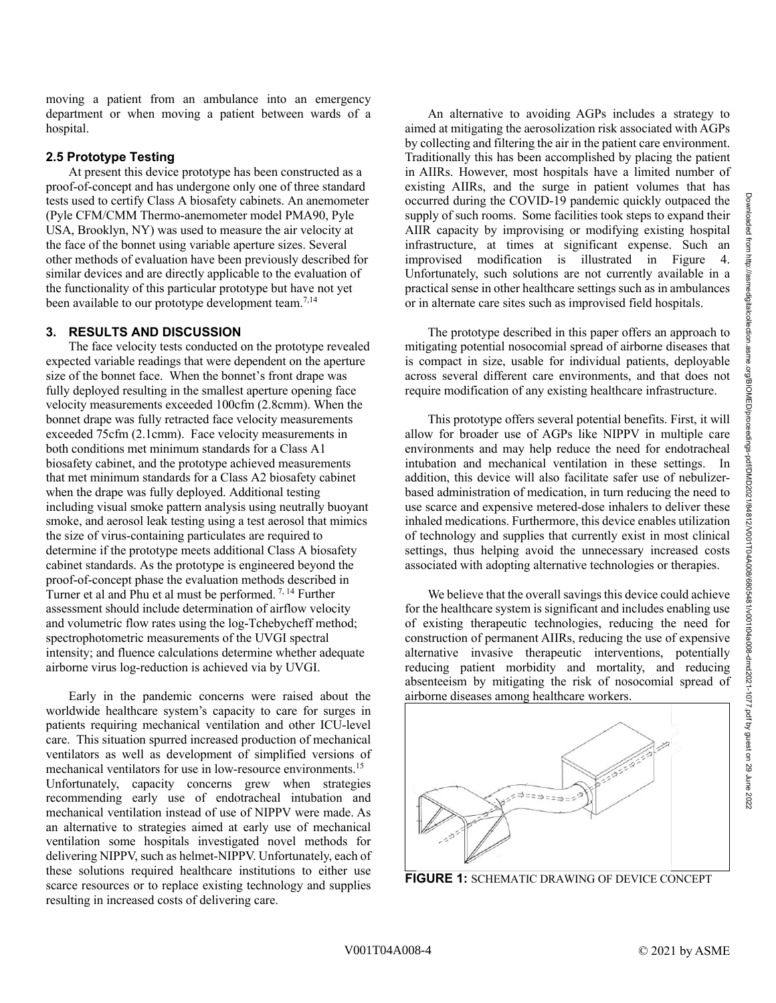moving a patient from an ambulance into an emergency department or when moving a patient between wards of a hospital.

### **2.5 Prototype Testing**

At present this device prototype has been constructed as a proof-of-concept and has undergone only one of three standard tests used to certify Class A biosafety cabinets. An anemometer (Pyle CFM/CMM Thermo-anemometer model PMA90, Pyle USA, Brooklyn, NY) was used to measure the air velocity at the face of the bonnet using variable aperture sizes. Several other methods of evaluation have been previously described for similar devices and are directly applicable to the evaluation of the functionality of this particular prototype but have not yet been available to our prototype development team.<sup>7,14</sup>

### **3. RESULTS AND DISCUSSION**

The face velocity tests conducted on the prototype revealed expected variable readings that were dependent on the aperture size of the bonnet face. When the bonnet's front drape was fully deployed resulting in the smallest aperture opening face velocity measurements exceeded 100cfm (2.8cmm). When the bonnet drape was fully retracted face velocity measurements exceeded 75cfm (2.1cmm). Face velocity measurements in both conditions met minimum standards for a Class A1 biosafety cabinet, and the prototype achieved measurements that met minimum standards for a Class A2 biosafety cabinet when the drape was fully deployed. Additional testing including visual smoke pattern analysis using neutrally buoyant smoke, and aerosol leak testing using a test aerosol that mimics the size of virus-containing particulates are required to determine if the prototype meets additional Class A biosafety cabinet standards. As the prototype is engineered beyond the proof-of-concept phase the evaluation methods described in Turner et al and Phu et al must be performed. 7, 14 Further assessment should include determination of airflow velocity and volumetric flow rates using the log-Tchebycheff method; spectrophotometric measurements of the UVGI spectral intensity; and fluence calculations determine whether adequate airborne virus log-reduction is achieved via by UVGI.

Early in the pandemic concerns were raised about the worldwide healthcare system's capacity to care for surges in patients requiring mechanical ventilation and other ICU-level care. This situation spurred increased production of mechanical ventilators as well as development of simplified versions of mechanical ventilators for use in low-resource environments. 15 Unfortunately, capacity concerns grew when strategies recommending early use of endotracheal intubation and mechanical ventilation instead of use of NIPPV were made. As an alternative to strategies aimed at early use of mechanical ventilation some hospitals investigated novel methods for delivering NIPPV, such as helmet-NIPPV. Unfortunately, each of these solutions required healthcare institutions to either use scarce resources or to replace existing technology and supplies resulting in increased costs of delivering care.

An alternative to avoiding AGPs includes a strategy to aimed at mitigating the aerosolization risk associated with AGPs by collecting and filtering the air in the patient care environment. Traditionally this has been accomplished by placing the patient in AIIRs. However, most hospitals have a limited number of existing AIIRs, and the surge in patient volumes that has occurred during the COVID-19 pandemic quickly outpaced the supply of such rooms. Some facilities took steps to expand their AIIR capacity by improvising or modifying existing hospital infrastructure, at times at significant expense. Such an improvised modification is illustrated in Figure 4. Unfortunately, such solutions are not currently available in a practical sense in other healthcare settings such as in ambulances or in alternate care sites such as improvised field hospitals.

The prototype described in this paper offers an approach to mitigating potential nosocomial spread of airborne diseases that is compact in size, usable for individual patients, deployable across several different care environments, and that does not require modification of any existing healthcare infrastructure.

This prototype offers several potential benefits. First, it will allow for broader use of AGPs like NIPPV in multiple care environments and may help reduce the need for endotracheal intubation and mechanical ventilation in these settings. In addition, this device will also facilitate safer use of nebulizerbased administration of medication, in turn reducing the need to use scarce and expensive metered-dose inhalers to deliver these inhaled medications. Furthermore, this device enables utilization of technology and supplies that currently exist in most clinical settings, thus helping avoid the unnecessary increased costs associated with adopting alternative technologies or therapies.

We believe that the overall savings this device could achieve for the healthcare system is significant and includes enabling use of existing therapeutic technologies, reducing the need for construction of permanent AIIRs, reducing the use of expensive alternative invasive therapeutic interventions, potentially reducing patient morbidity and mortality, and reducing absenteeism by mitigating the risk of nosocomial spread of airborne diseases among healthcare workers.



**FIGURE 1:** SCHEMATIC DRAWING OF DEVICE CONCEPT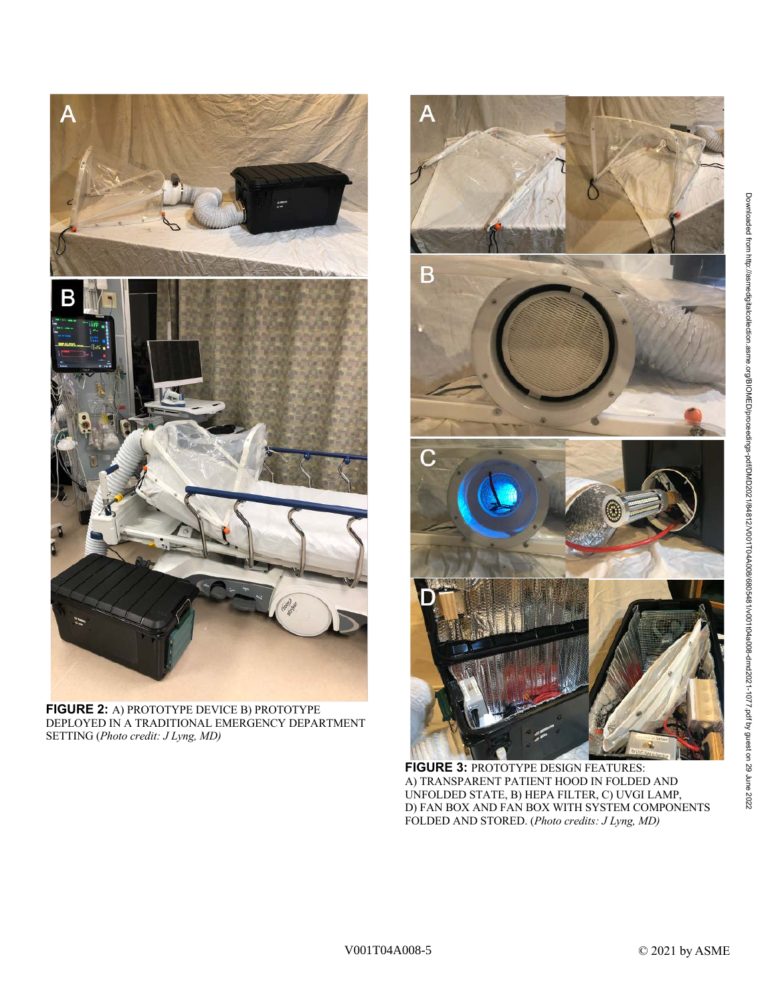

**FIGURE 2:** A) PROTOTYPE DEVICE B) PROTOTYPE DEPLOYED IN A TRADITIONAL EMERGENCY DEPARTMENT SETTING (*Photo credit: J Lyng, MD)*



**FIGURE 3:** PROTOTYPE DESIGN FEATURES: A) TRANSPARENT PATIENT HOOD IN FOLDED AND UNFOLDED STATE, B) HEPA FILTER, C) UVGI LAMP, D) FAN BOX AND FAN BOX WITH SYSTEM COMPONENTS FOLDED AND STORED. (*Photo credits: J Lyng, MD)*